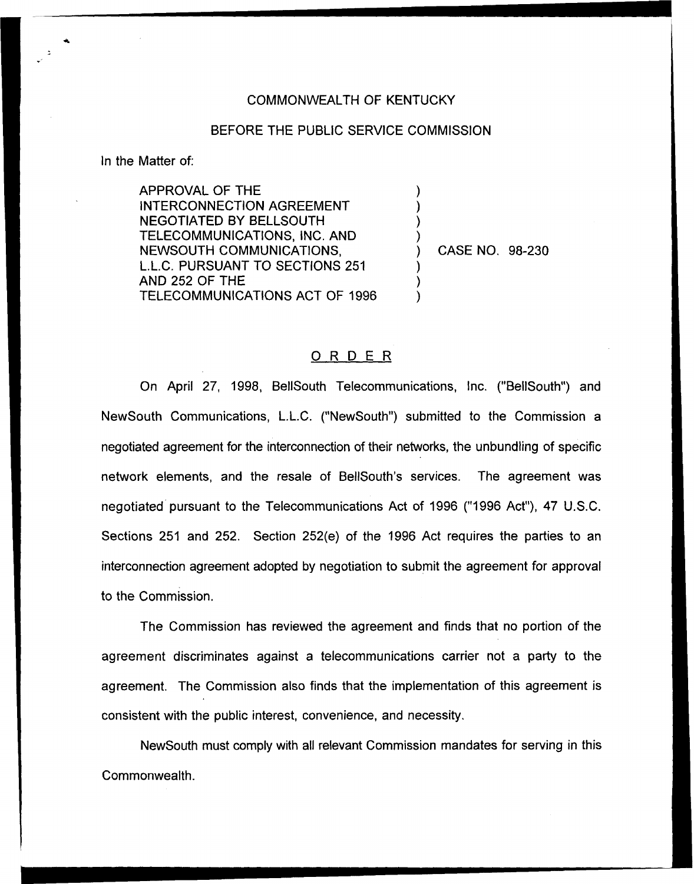## COMMONWEALTH OF KENTUCKY

## BEFORE THE PUBLIC SERVICE COMMISSION

) ) ) )

) ) )

ln the Matter of:

APPROVAL OF THE INTERCONNECTION AGREEMENT NEGOTIATED BY BELLSOUTH TELECOMMUNICATIONS, INC. AND NEWSOUTH COMMUNICATIONS, L.L.C. PURSUANT TO SECTIONS 251 AND 252 OF THE TELECOMMUNICATIONS ACT OF 1996

) CASE NO. 98-230

## ORDER

On April 27, 1998, BellSouth Telecommunications, Inc. ("BellSouth") and NewSouth Communications, L.L.C. ("NewSouth") submitted to the Commission a negotiated agreement for the interconnection of their networks, the unbundling of specific network elements, and the resale of BelISouth's services. The agreement was negotiated pursuant to the Telecommunications Act of 1996 ("1996 Act"), 47 U.S.C. Sections 251 and 252. Section 252(e) of the 1996 Act requires the parties to an interconnection agreement adopted by negotiation to submit the agreement for approval to the Commission.

The Commission has reviewed the agreement and finds that no portion of the agreement discriminates against a telecommunications carrier not a party to the agreement. The Commission also finds that the implementation of this agreement is consistent with the public interest, convenience, and necessity.

NewSouth must comply with all relevant Commission mandates for serving in this Commonwealth.